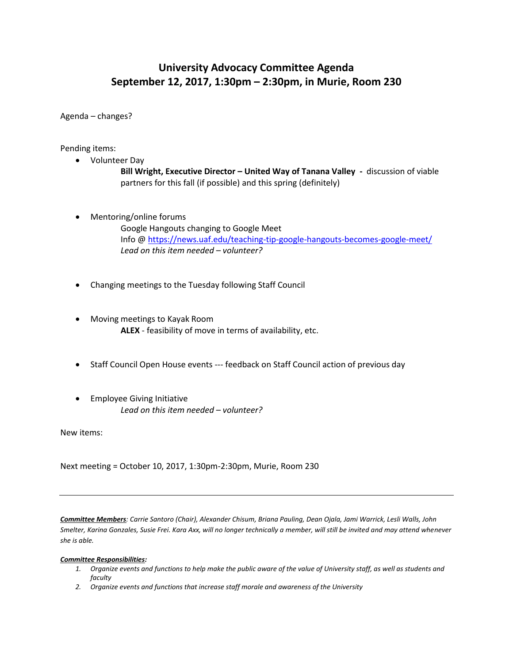## **University Advocacy Committee Agenda September 12, 2017, 1:30pm – 2:30pm, in Murie, Room 230**

Agenda – changes?

Pending items:

- Volunteer Day **Bill Wright, Executive Director – United Way of Tanana Valley -** discussion of viable partners for this fall (if possible) and this spring (definitely)
- Mentoring/online forums

Google Hangouts changing to Google Meet Info [@ https://news.uaf.edu/teaching-tip-google-hangouts-becomes-google-meet/](https://news.uaf.edu/teaching-tip-google-hangouts-becomes-google-meet/) *Lead on this item needed – volunteer?*

- Changing meetings to the Tuesday following Staff Council
- Moving meetings to Kayak Room **ALEX** - feasibility of move in terms of availability, etc.
- Staff Council Open House events --- feedback on Staff Council action of previous day
- **•** Employee Giving Initiative *Lead on this item needed – volunteer?*

New items:

Next meeting = October 10, 2017, 1:30pm-2:30pm, Murie, Room 230

*Committee Members: Carrie Santoro (Chair), Alexander Chisum, Briana Pauling, Dean Ojala, Jami Warrick, Lesli Walls, John Smelter, Karina Gonzales, Susie Frei. Kara Axx, will no longer technically a member, will still be invited and may attend whenever she is able.*

## *Committee Responsibilities:*

- *1. Organize events and functions to help make the public aware of the value of University staff, as well as students and faculty*
- *2. Organize events and functions that increase staff morale and awareness of the University*